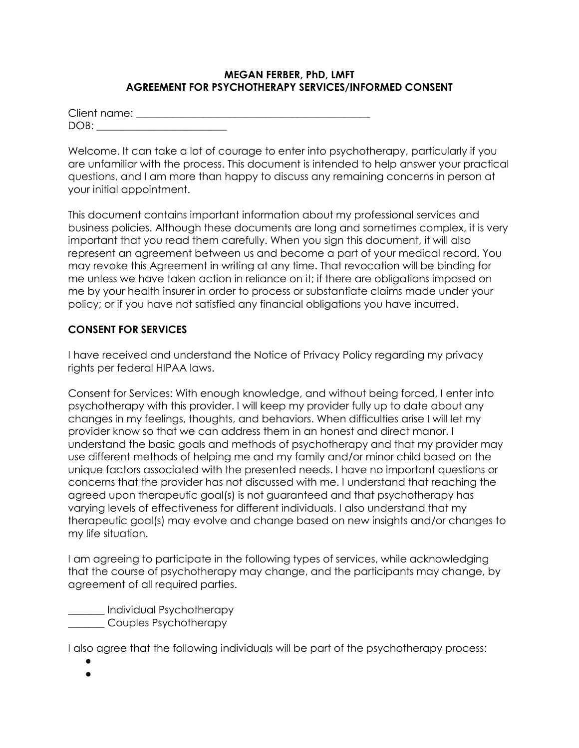#### **MEGAN FERBER, PhD, LMFT AGREEMENT FOR PSYCHOTHERAPY SERVICES/INFORMED CONSENT**

| Client name: |  |  |
|--------------|--|--|
| $DOR+$       |  |  |

Welcome. It can take a lot of courage to enter into psychotherapy, particularly if you are unfamiliar with the process. This document is intended to help answer your practical questions, and I am more than happy to discuss any remaining concerns in person at your initial appointment.

This document contains important information about my professional services and business policies. Although these documents are long and sometimes complex, it is very important that you read them carefully. When you sign this document, it will also represent an agreement between us and become a part of your medical record. You may revoke this Agreement in writing at any time. That revocation will be binding for me unless we have taken action in reliance on it; if there are obligations imposed on me by your health insurer in order to process or substantiate claims made under your policy; or if you have not satisfied any financial obligations you have incurred.

#### **CONSENT FOR SERVICES**

I have received and understand the Notice of Privacy Policy regarding my privacy rights per federal HIPAA laws.

Consent for Services: With enough knowledge, and without being forced, I enter into psychotherapy with this provider. I will keep my provider fully up to date about any changes in my feelings, thoughts, and behaviors. When difficulties arise I will let my provider know so that we can address them in an honest and direct manor. I understand the basic goals and methods of psychotherapy and that my provider may use different methods of helping me and my family and/or minor child based on the unique factors associated with the presented needs. I have no important questions or concerns that the provider has not discussed with me. I understand that reaching the agreed upon therapeutic goal(s) is not guaranteed and that psychotherapy has varying levels of effectiveness for different individuals. I also understand that my therapeutic goal(s) may evolve and change based on new insights and/or changes to my life situation.

I am agreeing to participate in the following types of services, while acknowledging that the course of psychotherapy may change, and the participants may change, by agreement of all required parties.

\_\_\_\_\_\_\_ Individual Psychotherapy **Examples Psychotherapy** 

I also agree that the following individuals will be part of the psychotherapy process:

● ●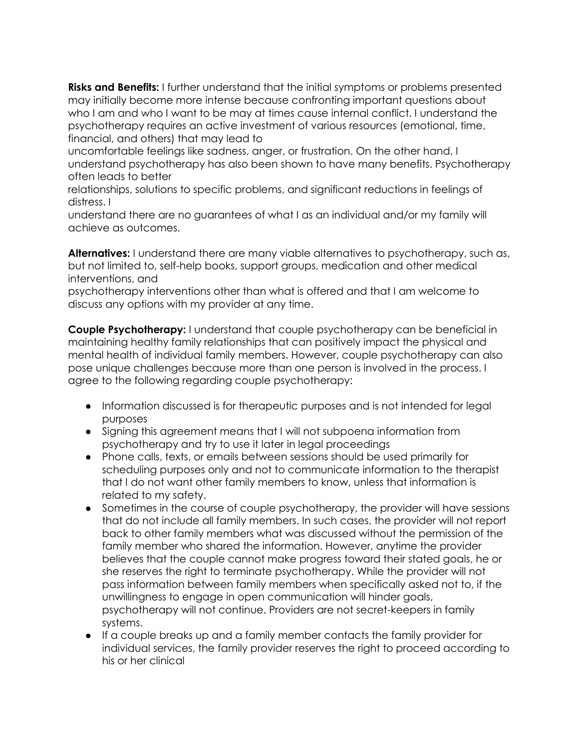**Risks and Benefits:** I further understand that the initial symptoms or problems presented may initially become more intense because confronting important questions about who I am and who I want to be may at times cause internal conflict. I understand the psychotherapy requires an active investment of various resources (emotional, time, financial, and others) that may lead to

uncomfortable feelings like sadness, anger, or frustration. On the other hand, I understand psychotherapy has also been shown to have many benefits. Psychotherapy often leads to better

relationships, solutions to specific problems, and significant reductions in feelings of distress. I

understand there are no guarantees of what I as an individual and/or my family will achieve as outcomes.

**Alternatives:** I understand there are many viable alternatives to psychotherapy, such as, but not limited to, self-help books, support groups, medication and other medical interventions, and

psychotherapy interventions other than what is offered and that I am welcome to discuss any options with my provider at any time.

**Couple Psychotherapy:** I understand that couple psychotherapy can be beneficial in maintaining healthy family relationships that can positively impact the physical and mental health of individual family members. However, couple psychotherapy can also pose unique challenges because more than one person is involved in the process. I agree to the following regarding couple psychotherapy:

- Information discussed is for therapeutic purposes and is not intended for legal purposes
- Signing this agreement means that I will not subpoena information from psychotherapy and try to use it later in legal proceedings
- Phone calls, texts, or emails between sessions should be used primarily for scheduling purposes only and not to communicate information to the therapist that I do not want other family members to know, unless that information is related to my safety.
- Sometimes in the course of couple psychotherapy, the provider will have sessions that do not include all family members. In such cases, the provider will not report back to other family members what was discussed without the permission of the family member who shared the information. However, anytime the provider believes that the couple cannot make progress toward their stated goals, he or she reserves the right to terminate psychotherapy. While the provider will not pass information between family members when specifically asked not to, if the unwillingness to engage in open communication will hinder goals, psychotherapy will not continue. Providers are not secret-keepers in family systems.
- If a couple breaks up and a family member contacts the family provider for individual services, the family provider reserves the right to proceed according to his or her clinical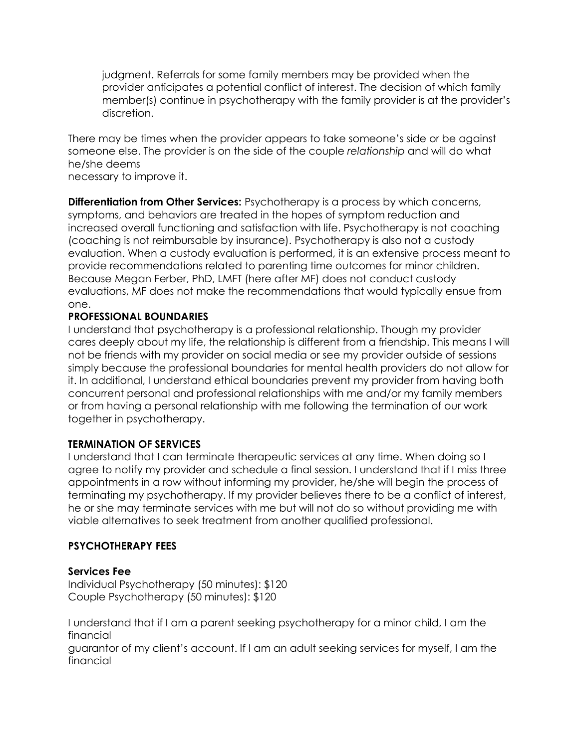judgment. Referrals for some family members may be provided when the provider anticipates a potential conflict of interest. The decision of which family member(s) continue in psychotherapy with the family provider is at the provider's discretion.

There may be times when the provider appears to take someone's side or be against someone else. The provider is on the side of the couple *relationship* and will do what he/she deems

necessary to improve it.

**Differentiation from Other Services:** Psychotherapy is a process by which concerns, symptoms, and behaviors are treated in the hopes of symptom reduction and increased overall functioning and satisfaction with life. Psychotherapy is not coaching (coaching is not reimbursable by insurance). Psychotherapy is also not a custody evaluation. When a custody evaluation is performed, it is an extensive process meant to provide recommendations related to parenting time outcomes for minor children. Because Megan Ferber, PhD, LMFT (here after MF) does not conduct custody evaluations, MF does not make the recommendations that would typically ensue from one.

# **PROFESSIONAL BOUNDARIES**

I understand that psychotherapy is a professional relationship. Though my provider cares deeply about my life, the relationship is different from a friendship. This means I will not be friends with my provider on social media or see my provider outside of sessions simply because the professional boundaries for mental health providers do not allow for it. In additional, I understand ethical boundaries prevent my provider from having both concurrent personal and professional relationships with me and/or my family members or from having a personal relationship with me following the termination of our work together in psychotherapy.

# **TERMINATION OF SERVICES**

I understand that I can terminate therapeutic services at any time. When doing so I agree to notify my provider and schedule a final session. I understand that if I miss three appointments in a row without informing my provider, he/she will begin the process of terminating my psychotherapy. If my provider believes there to be a conflict of interest, he or she may terminate services with me but will not do so without providing me with viable alternatives to seek treatment from another qualified professional.

# **PSYCHOTHERAPY FEES**

# **Services Fee**

Individual Psychotherapy (50 minutes): \$120 Couple Psychotherapy (50 minutes): \$120

I understand that if I am a parent seeking psychotherapy for a minor child, I am the financial

guarantor of my client's account. If I am an adult seeking services for myself, I am the financial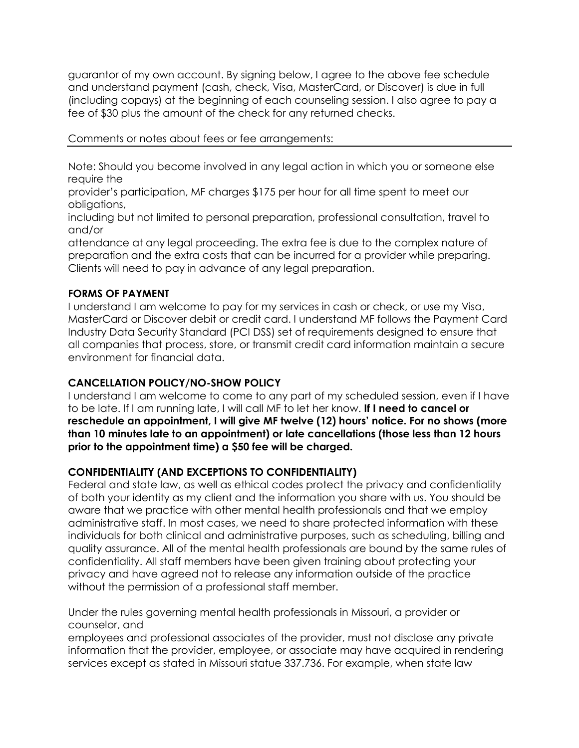guarantor of my own account. By signing below, I agree to the above fee schedule and understand payment (cash, check, Visa, MasterCard, or Discover) is due in full (including copays) at the beginning of each counseling session. I also agree to pay a fee of \$30 plus the amount of the check for any returned checks.

#### Comments or notes about fees or fee arrangements:

Note: Should you become involved in any legal action in which you or someone else require the

provider's participation, MF charges \$175 per hour for all time spent to meet our obligations,

including but not limited to personal preparation, professional consultation, travel to and/or

attendance at any legal proceeding. The extra fee is due to the complex nature of preparation and the extra costs that can be incurred for a provider while preparing. Clients will need to pay in advance of any legal preparation.

#### **FORMS OF PAYMENT**

I understand I am welcome to pay for my services in cash or check, or use my Visa, MasterCard or Discover debit or credit card. I understand MF follows the Payment Card Industry Data Security Standard (PCI DSS) set of requirements designed to ensure that all companies that process, store, or transmit credit card information maintain a secure environment for financial data.

# **CANCELLATION POLICY/NO-SHOW POLICY**

I understand I am welcome to come to any part of my scheduled session, even if I have to be late. If I am running late, I will call MF to let her know. **If I need to cancel or reschedule an appointment, I will give MF twelve (12) hours' notice. For no shows (more than 10 minutes late to an appointment) or late cancellations (those less than 12 hours prior to the appointment time) a \$50 fee will be charged.**

# **CONFIDENTIALITY (AND EXCEPTIONS TO CONFIDENTIALITY)**

Federal and state law, as well as ethical codes protect the privacy and confidentiality of both your identity as my client and the information you share with us. You should be aware that we practice with other mental health professionals and that we employ administrative staff. In most cases, we need to share protected information with these individuals for both clinical and administrative purposes, such as scheduling, billing and quality assurance. All of the mental health professionals are bound by the same rules of confidentiality. All staff members have been given training about protecting your privacy and have agreed not to release any information outside of the practice without the permission of a professional staff member.

Under the rules governing mental health professionals in Missouri, a provider or counselor, and

employees and professional associates of the provider, must not disclose any private information that the provider, employee, or associate may have acquired in rendering services except as stated in Missouri statue 337.736. For example, when state law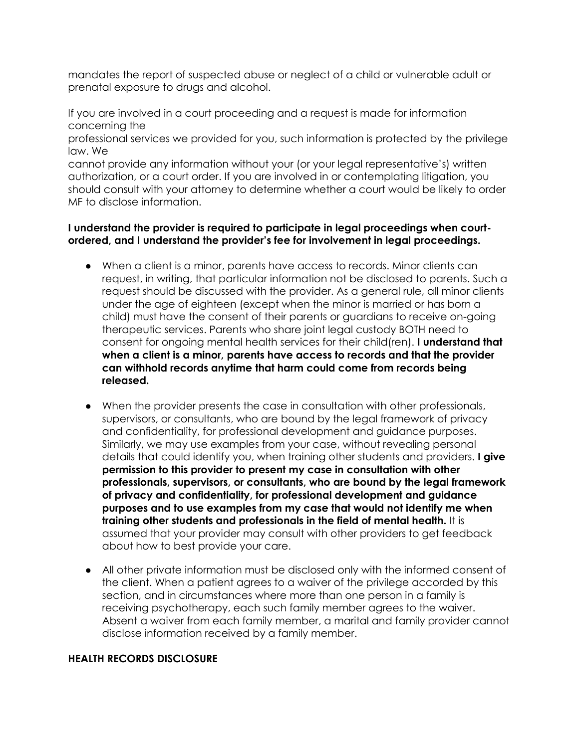mandates the report of suspected abuse or neglect of a child or vulnerable adult or prenatal exposure to drugs and alcohol.

If you are involved in a court proceeding and a request is made for information concerning the

professional services we provided for you, such information is protected by the privilege law. We

cannot provide any information without your (or your legal representative's) written authorization, or a court order. If you are involved in or contemplating litigation, you should consult with your attorney to determine whether a court would be likely to order MF to disclose information.

#### **I understand the provider is required to participate in legal proceedings when courtordered, and I understand the provider's fee for involvement in legal proceedings.**

- When a client is a minor, parents have access to records. Minor clients can request, in writing, that particular information not be disclosed to parents. Such a request should be discussed with the provider. As a general rule, all minor clients under the age of eighteen (except when the minor is married or has born a child) must have the consent of their parents or guardians to receive on-going therapeutic services. Parents who share joint legal custody BOTH need to consent for ongoing mental health services for their child(ren). **I understand that when a client is a minor, parents have access to records and that the provider can withhold records anytime that harm could come from records being released.**
- When the provider presents the case in consultation with other professionals, supervisors, or consultants, who are bound by the legal framework of privacy and confidentiality, for professional development and guidance purposes. Similarly, we may use examples from your case, without revealing personal details that could identify you, when training other students and providers. **I give permission to this provider to present my case in consultation with other professionals, supervisors, or consultants, who are bound by the legal framework of privacy and confidentiality, for professional development and guidance purposes and to use examples from my case that would not identify me when training other students and professionals in the field of mental health.** It is assumed that your provider may consult with other providers to get feedback about how to best provide your care.
- All other private information must be disclosed only with the informed consent of the client. When a patient agrees to a waiver of the privilege accorded by this section, and in circumstances where more than one person in a family is receiving psychotherapy, each such family member agrees to the waiver. Absent a waiver from each family member, a marital and family provider cannot disclose information received by a family member.

#### **HEALTH RECORDS DISCLOSURE**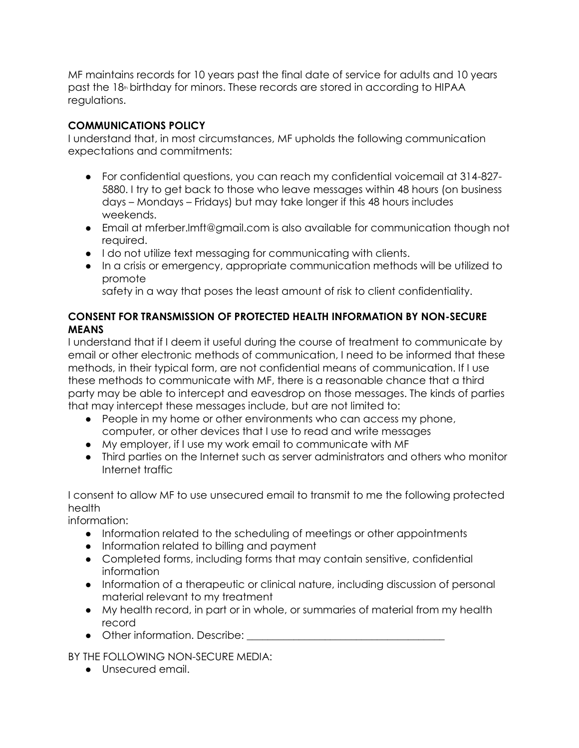MF maintains records for 10 years past the final date of service for adults and 10 years past the 18<sup>th</sup> birthday for minors. These records are stored in according to HIPAA regulations.

# **COMMUNICATIONS POLICY**

I understand that, in most circumstances, MF upholds the following communication expectations and commitments:

- For confidential questions, you can reach my confidential voicemail at 314-827- 5880. I try to get back to those who leave messages within 48 hours (on business days – Mondays – Fridays) but may take longer if this 48 hours includes weekends.
- Email at mferber.lmft@gmail.com is also available for communication though not required.
- I do not utilize text messaging for communicating with clients.
- In a crisis or emergency, appropriate communication methods will be utilized to promote

safety in a way that poses the least amount of risk to client confidentiality.

# **CONSENT FOR TRANSMISSION OF PROTECTED HEALTH INFORMATION BY NON-SECURE MEANS**

I understand that if I deem it useful during the course of treatment to communicate by email or other electronic methods of communication, I need to be informed that these methods, in their typical form, are not confidential means of communication. If I use these methods to communicate with MF, there is a reasonable chance that a third party may be able to intercept and eavesdrop on those messages. The kinds of parties that may intercept these messages include, but are not limited to:

- People in my home or other environments who can access my phone, computer, or other devices that I use to read and write messages
- My employer, if I use my work email to communicate with MF
- Third parties on the Internet such as server administrators and others who monitor Internet traffic

I consent to allow MF to use unsecured email to transmit to me the following protected health

information:

- Information related to the scheduling of meetings or other appointments
- Information related to billing and payment
- Completed forms, including forms that may contain sensitive, confidential information
- Information of a therapeutic or clinical nature, including discussion of personal material relevant to my treatment
- My health record, in part or in whole, or summaries of material from my health record
- $\bullet$  Other information. Describe:

BY THE FOLLOWING NON-SECURE MEDIA:

● Unsecured email.